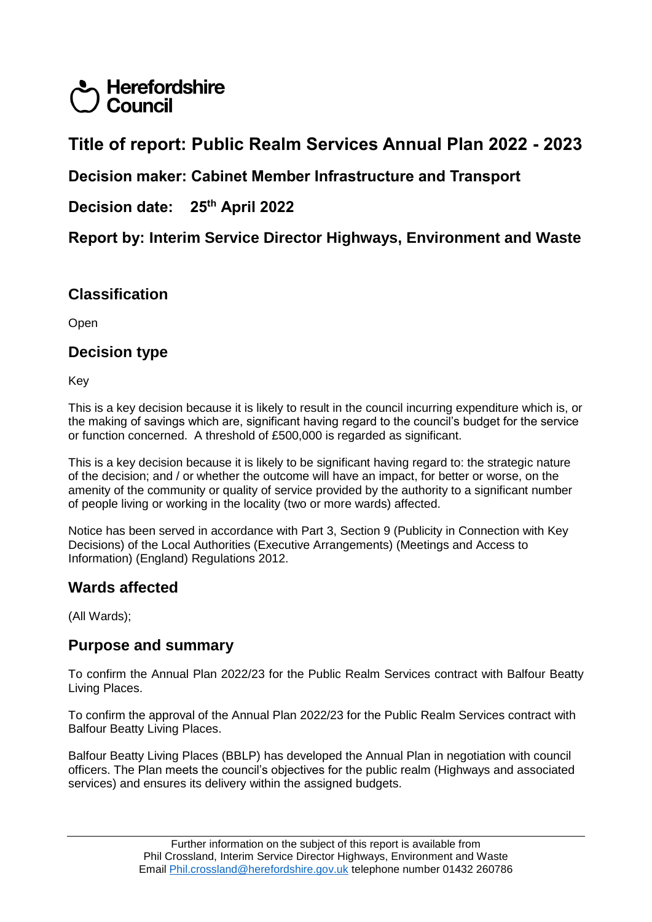# **Herefordshire** Council

# **Title of report: Public Realm Services Annual Plan 2022 - 2023**

### **Decision maker: Cabinet Member Infrastructure and Transport**

#### **Decision date: 25th April 2022**

**Report by: Interim Service Director Highways, Environment and Waste**

### **Classification**

Open

### **Decision type**

Key

This is a key decision because it is likely to result in the council incurring expenditure which is, or the making of savings which are, significant having regard to the council's budget for the service or function concerned. A threshold of £500,000 is regarded as significant.

This is a key decision because it is likely to be significant having regard to: the strategic nature of the decision; and / or whether the outcome will have an impact, for better or worse, on the amenity of the community or quality of service provided by the authority to a significant number of people living or working in the locality (two or more wards) affected.

Notice has been served in accordance with Part 3, Section 9 (Publicity in Connection with Key Decisions) of the Local Authorities (Executive Arrangements) (Meetings and Access to Information) (England) Regulations 2012.

### **Wards affected**

(All Wards);

#### **Purpose and summary**

To confirm the Annual Plan 2022/23 for the Public Realm Services contract with Balfour Beatty Living Places.

To confirm the approval of the Annual Plan 2022/23 for the Public Realm Services contract with Balfour Beatty Living Places.

Balfour Beatty Living Places (BBLP) has developed the Annual Plan in negotiation with council officers. The Plan meets the council's objectives for the public realm (Highways and associated services) and ensures its delivery within the assigned budgets.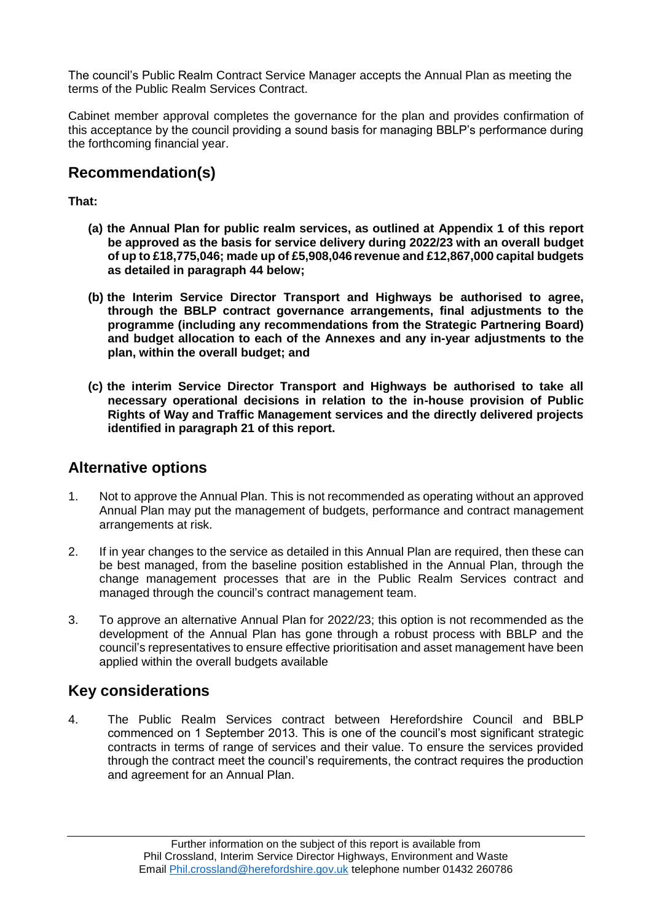The council's Public Realm Contract Service Manager accepts the Annual Plan as meeting the terms of the Public Realm Services Contract.

Cabinet member approval completes the governance for the plan and provides confirmation of this acceptance by the council providing a sound basis for managing BBLP's performance during the forthcoming financial year.

### **Recommendation(s)**

**That:**

- **(a) the Annual Plan for public realm services, as outlined at Appendix 1 of this report be approved as the basis for service delivery during 2022/23 with an overall budget of up to £18,775,046; made up of £5,908,046 revenue and £12,867,000 capital budgets as detailed in paragraph 44 below;**
- **(b) the Interim Service Director Transport and Highways be authorised to agree, through the BBLP contract governance arrangements, final adjustments to the programme (including any recommendations from the Strategic Partnering Board) and budget allocation to each of the Annexes and any in-year adjustments to the plan, within the overall budget; and**
- **(c) the interim Service Director Transport and Highways be authorised to take all necessary operational decisions in relation to the in-house provision of Public Rights of Way and Traffic Management services and the directly delivered projects identified in paragraph 21 of this report.**

#### **Alternative options**

- 1. Not to approve the Annual Plan. This is not recommended as operating without an approved Annual Plan may put the management of budgets, performance and contract management arrangements at risk.
- 2. If in year changes to the service as detailed in this Annual Plan are required, then these can be best managed, from the baseline position established in the Annual Plan, through the change management processes that are in the Public Realm Services contract and managed through the council's contract management team.
- 3. To approve an alternative Annual Plan for 2022/23; this option is not recommended as the development of the Annual Plan has gone through a robust process with BBLP and the council's representatives to ensure effective prioritisation and asset management have been applied within the overall budgets available

### **Key considerations**

4. The Public Realm Services contract between Herefordshire Council and BBLP commenced on 1 September 2013. This is one of the council's most significant strategic contracts in terms of range of services and their value. To ensure the services provided through the contract meet the council's requirements, the contract requires the production and agreement for an Annual Plan.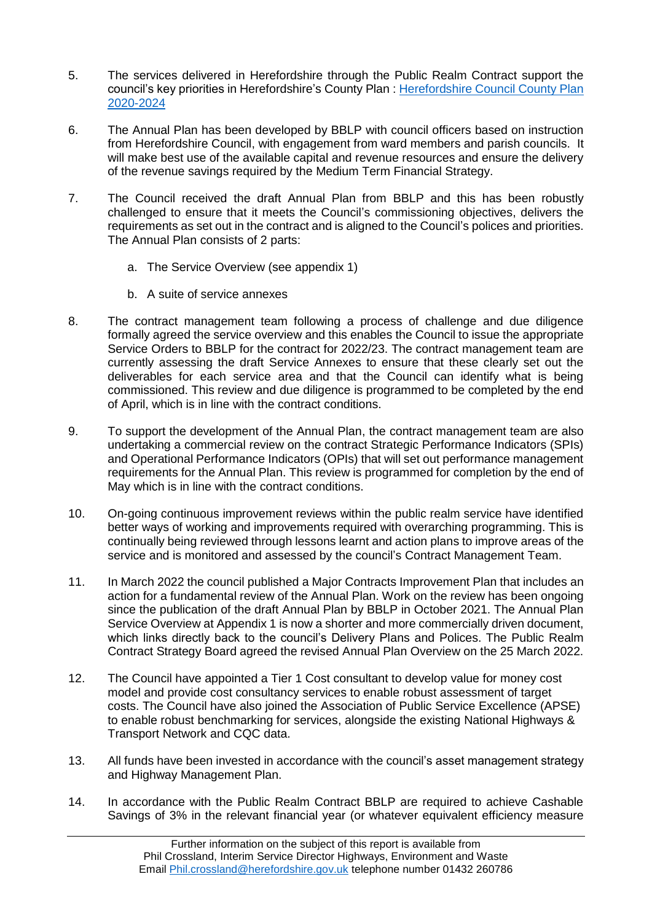- 5. The services delivered in Herefordshire through the Public Realm Contract support the council's key priorities in Herefordshire's County Plan : [Herefordshire Council County Plan](https://www.herefordshire.gov.uk/downloads/file/1500/corporate_plan_2016-20pdf)  [2020-2024](https://www.herefordshire.gov.uk/downloads/file/1500/corporate_plan_2016-20pdf)
- 6. The Annual Plan has been developed by BBLP with council officers based on instruction from Herefordshire Council, with engagement from ward members and parish councils. It will make best use of the available capital and revenue resources and ensure the delivery of the revenue savings required by the Medium Term Financial Strategy.
- 7. The Council received the draft Annual Plan from BBLP and this has been robustly challenged to ensure that it meets the Council's commissioning objectives, delivers the requirements as set out in the contract and is aligned to the Council's polices and priorities. The Annual Plan consists of 2 parts:
	- a. The Service Overview (see appendix 1)
	- b. A suite of service annexes
- 8. The contract management team following a process of challenge and due diligence formally agreed the service overview and this enables the Council to issue the appropriate Service Orders to BBLP for the contract for 2022/23. The contract management team are currently assessing the draft Service Annexes to ensure that these clearly set out the deliverables for each service area and that the Council can identify what is being commissioned. This review and due diligence is programmed to be completed by the end of April, which is in line with the contract conditions.
- 9. To support the development of the Annual Plan, the contract management team are also undertaking a commercial review on the contract Strategic Performance Indicators (SPIs) and Operational Performance Indicators (OPIs) that will set out performance management requirements for the Annual Plan. This review is programmed for completion by the end of May which is in line with the contract conditions.
- 10. On-going continuous improvement reviews within the public realm service have identified better ways of working and improvements required with overarching programming. This is continually being reviewed through lessons learnt and action plans to improve areas of the service and is monitored and assessed by the council's Contract Management Team.
- 11. In March 2022 the council published a Major Contracts Improvement Plan that includes an action for a fundamental review of the Annual Plan. Work on the review has been ongoing since the publication of the draft Annual Plan by BBLP in October 2021. The Annual Plan Service Overview at Appendix 1 is now a shorter and more commercially driven document, which links directly back to the council's Delivery Plans and Polices. The Public Realm Contract Strategy Board agreed the revised Annual Plan Overview on the 25 March 2022.
- 12. The Council have appointed a Tier 1 Cost consultant to develop value for money cost model and provide cost consultancy services to enable robust assessment of target costs. The Council have also joined the Association of Public Service Excellence (APSE) to enable robust benchmarking for services, alongside the existing National Highways & Transport Network and CQC data.
- 13. All funds have been invested in accordance with the council's asset management strategy and Highway Management Plan.
- 14. In accordance with the Public Realm Contract BBLP are required to achieve Cashable Savings of 3% in the relevant financial year (or whatever equivalent efficiency measure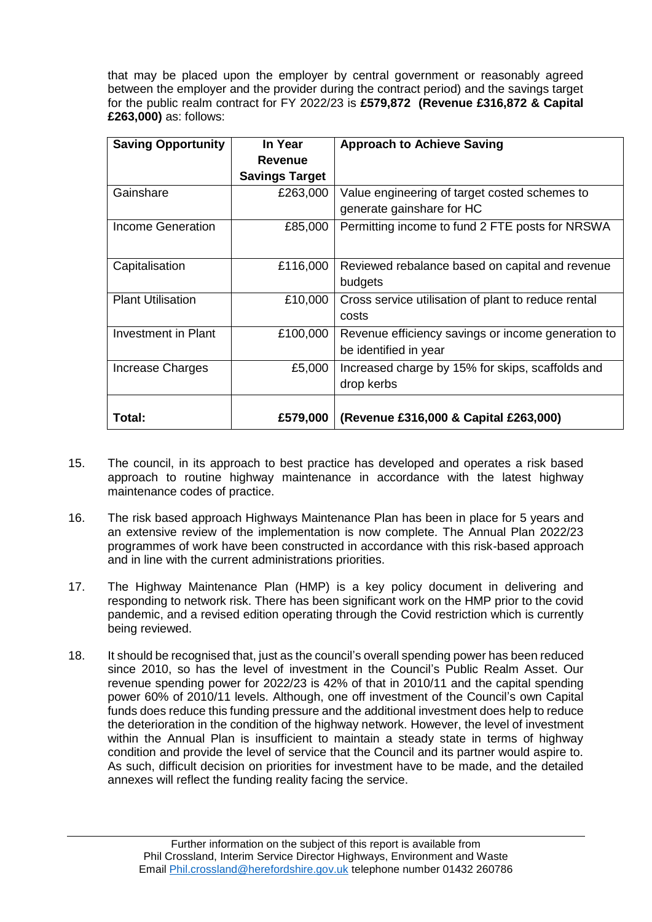that may be placed upon the employer by central government or reasonably agreed between the employer and the provider during the contract period) and the savings target for the public realm contract for FY 2022/23 is **£579,872 (Revenue £316,872 & Capital £263,000)** as: follows:

| <b>Saving Opportunity</b>  | In Year               | <b>Approach to Achieve Saving</b>                                           |
|----------------------------|-----------------------|-----------------------------------------------------------------------------|
|                            | <b>Revenue</b>        |                                                                             |
|                            | <b>Savings Target</b> |                                                                             |
| Gainshare                  | £263,000              | Value engineering of target costed schemes to<br>generate gainshare for HC  |
| Income Generation          | £85,000               | Permitting income to fund 2 FTE posts for NRSWA                             |
| Capitalisation             | £116,000              | Reviewed rebalance based on capital and revenue<br>budgets                  |
| <b>Plant Utilisation</b>   | £10,000               | Cross service utilisation of plant to reduce rental<br>costs                |
| <b>Investment in Plant</b> | £100,000              | Revenue efficiency savings or income generation to<br>be identified in year |
| Increase Charges           | £5,000                | Increased charge by 15% for skips, scaffolds and<br>drop kerbs              |
| Total:                     | £579,000              | (Revenue £316,000 & Capital £263,000)                                       |

- 15. The council, in its approach to best practice has developed and operates a risk based approach to routine highway maintenance in accordance with the latest highway maintenance codes of practice.
- 16. The risk based approach Highways Maintenance Plan has been in place for 5 years and an extensive review of the implementation is now complete. The Annual Plan 2022/23 programmes of work have been constructed in accordance with this risk-based approach and in line with the current administrations priorities.
- 17. The Highway Maintenance Plan (HMP) is a key policy document in delivering and responding to network risk. There has been significant work on the HMP prior to the covid pandemic, and a revised edition operating through the Covid restriction which is currently being reviewed.
- 18. It should be recognised that, just as the council's overall spending power has been reduced since 2010, so has the level of investment in the Council's Public Realm Asset. Our revenue spending power for 2022/23 is 42% of that in 2010/11 and the capital spending power 60% of 2010/11 levels. Although, one off investment of the Council's own Capital funds does reduce this funding pressure and the additional investment does help to reduce the deterioration in the condition of the highway network. However, the level of investment within the Annual Plan is insufficient to maintain a steady state in terms of highway condition and provide the level of service that the Council and its partner would aspire to. As such, difficult decision on priorities for investment have to be made, and the detailed annexes will reflect the funding reality facing the service.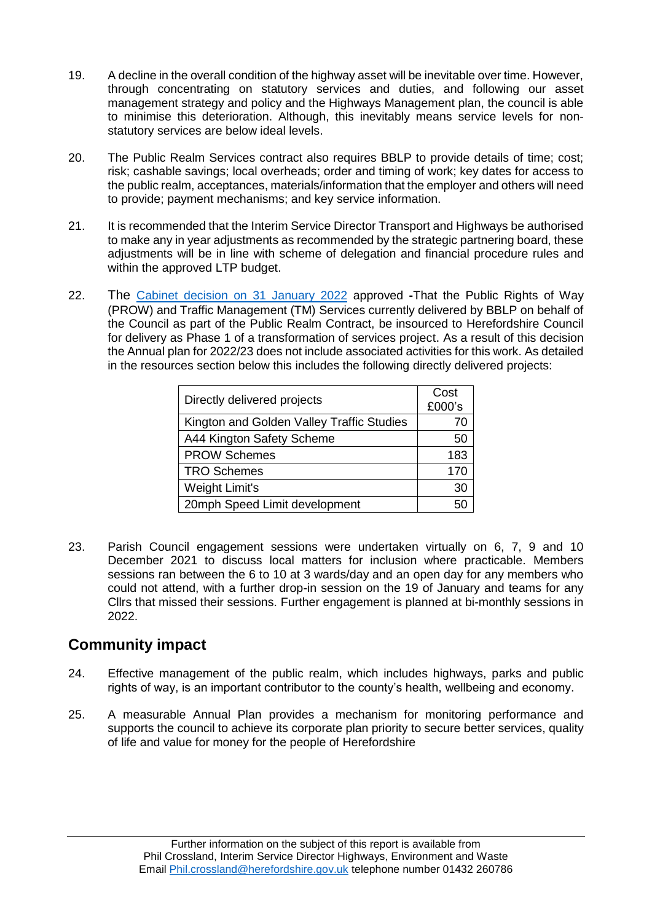- 19. A decline in the overall condition of the highway asset will be inevitable over time. However, through concentrating on statutory services and duties, and following our asset management strategy and policy and the Highways Management plan, the council is able to minimise this deterioration. Although, this inevitably means service levels for nonstatutory services are below ideal levels.
- 20. The Public Realm Services contract also requires BBLP to provide details of time; cost; risk; cashable savings; local overheads; order and timing of work; key dates for access to the public realm, acceptances, materials/information that the employer and others will need to provide; payment mechanisms; and key service information.
- 21. It is recommended that the Interim Service Director Transport and Highways be authorised to make any in year adjustments as recommended by the strategic partnering board, these adjustments will be in line with scheme of delegation and financial procedure rules and within the approved LTP budget.
- 22. The [Cabinet decision on 31 January 2022](https://councillors.herefordshire.gov.uk/ieDecisionDetails.aspx?ID=8524) approved **-**That the Public Rights of Way (PROW) and Traffic Management (TM) Services currently delivered by BBLP on behalf of the Council as part of the Public Realm Contract, be insourced to Herefordshire Council for delivery as Phase 1 of a transformation of services project. As a result of this decision the Annual plan for 2022/23 does not include associated activities for this work. As detailed in the resources section below this includes the following directly delivered projects:

| Directly delivered projects               | Cost<br>£000's |
|-------------------------------------------|----------------|
| Kington and Golden Valley Traffic Studies |                |
| A44 Kington Safety Scheme                 | 50             |
| <b>PROW Schemes</b>                       | 183            |
| <b>TRO Schemes</b>                        | 170            |
| Weight Limit's                            | 30             |
| 20mph Speed Limit development             |                |

23. Parish Council engagement sessions were undertaken virtually on 6, 7, 9 and 10 December 2021 to discuss local matters for inclusion where practicable. Members sessions ran between the 6 to 10 at 3 wards/day and an open day for any members who could not attend, with a further drop-in session on the 19 of January and teams for any Cllrs that missed their sessions. Further engagement is planned at bi-monthly sessions in 2022.

### **Community impact**

- 24. Effective management of the public realm, which includes highways, parks and public rights of way, is an important contributor to the county's health, wellbeing and economy.
- 25. A measurable Annual Plan provides a mechanism for monitoring performance and supports the council to achieve its corporate plan priority to secure better services, quality of life and value for money for the people of Herefordshire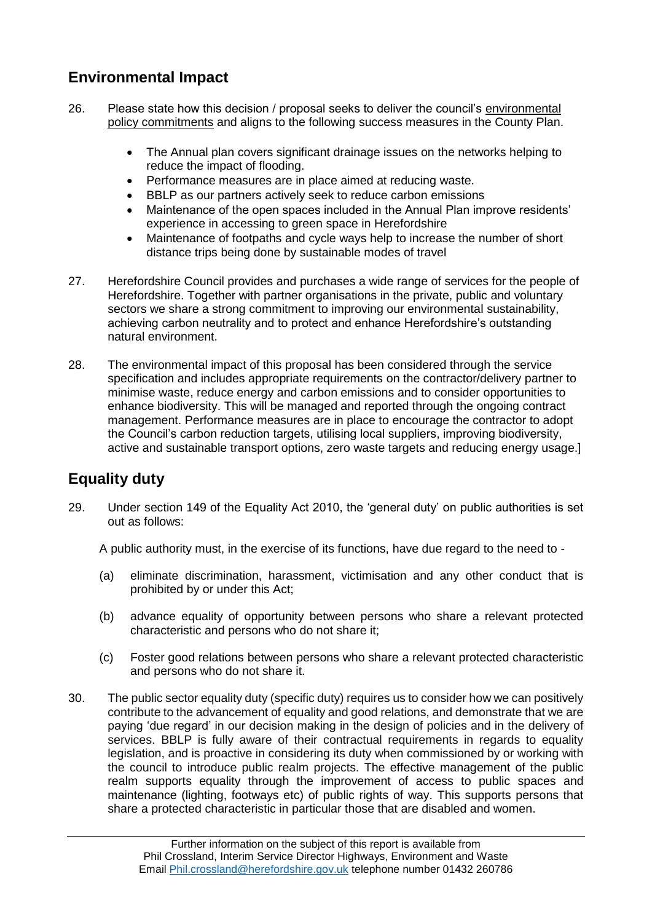## **Environmental Impact**

- 26. Please state how this decision / proposal seeks to deliver the council's [environmental](https://www.herefordshire.gov.uk/download/downloads/id/8985/environmental_policy_2019.pdf)  [policy commitments](https://www.herefordshire.gov.uk/download/downloads/id/8985/environmental_policy_2019.pdf) and aligns to the following success measures in the County Plan.
	- The Annual plan covers significant drainage issues on the networks helping to reduce the impact of flooding.
	- Performance measures are in place aimed at reducing waste.
	- BBLP as our partners actively seek to reduce carbon emissions
	- Maintenance of the open spaces included in the Annual Plan improve residents' experience in accessing to green space in Herefordshire
	- Maintenance of footpaths and cycle ways help to increase the number of short distance trips being done by sustainable modes of travel
- 27. Herefordshire Council provides and purchases a wide range of services for the people of Herefordshire. Together with partner organisations in the private, public and voluntary sectors we share a strong commitment to improving our environmental sustainability, achieving carbon neutrality and to protect and enhance Herefordshire's outstanding natural environment.
- 28. The environmental impact of this proposal has been considered through the service specification and includes appropriate requirements on the contractor/delivery partner to minimise waste, reduce energy and carbon emissions and to consider opportunities to enhance biodiversity. This will be managed and reported through the ongoing contract management. Performance measures are in place to encourage the contractor to adopt the Council's carbon reduction targets, utilising local suppliers, improving biodiversity, active and sustainable transport options, zero waste targets and reducing energy usage.]

## **Equality duty**

29. Under section 149 of the Equality Act 2010, the 'general duty' on public authorities is set out as follows:

A public authority must, in the exercise of its functions, have due regard to the need to -

- (a) eliminate discrimination, harassment, victimisation and any other conduct that is prohibited by or under this Act;
- (b) advance equality of opportunity between persons who share a relevant protected characteristic and persons who do not share it;
- (c) Foster good relations between persons who share a relevant protected characteristic and persons who do not share it.
- 30. The public sector equality duty (specific duty) requires us to consider how we can positively contribute to the advancement of equality and good relations, and demonstrate that we are paying 'due regard' in our decision making in the design of policies and in the delivery of services. BBLP is fully aware of their contractual requirements in regards to equality legislation, and is proactive in considering its duty when commissioned by or working with the council to introduce public realm projects. The effective management of the public realm supports equality through the improvement of access to public spaces and maintenance (lighting, footways etc) of public rights of way. This supports persons that share a protected characteristic in particular those that are disabled and women.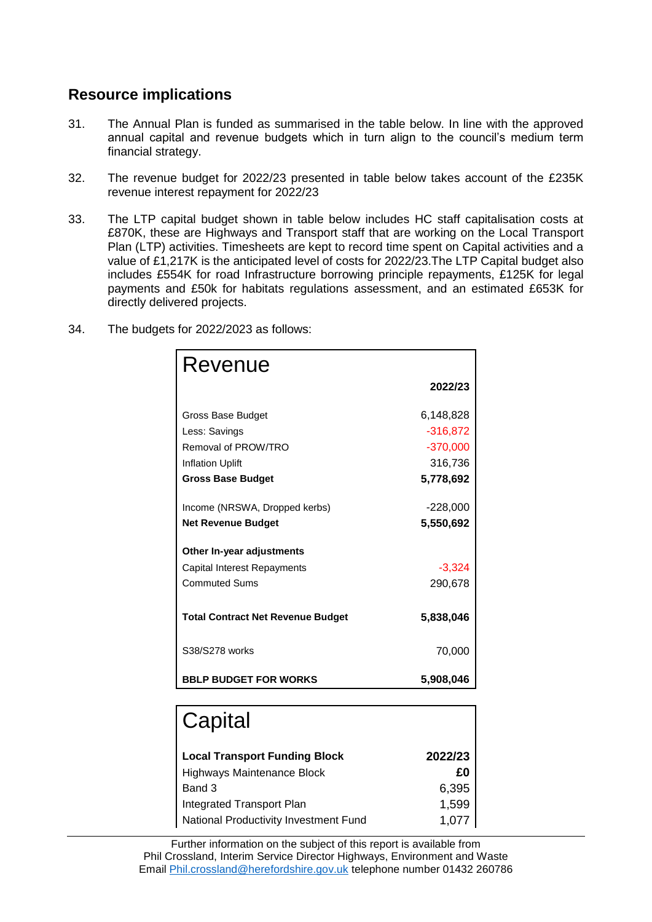### **Resource implications**

- 31. The Annual Plan is funded as summarised in the table below. In line with the approved annual capital and revenue budgets which in turn align to the council's medium term financial strategy.
- 32. The revenue budget for 2022/23 presented in table below takes account of the £235K revenue interest repayment for 2022/23
- 33. The LTP capital budget shown in table below includes HC staff capitalisation costs at £870K, these are Highways and Transport staff that are working on the Local Transport Plan (LTP) activities. Timesheets are kept to record time spent on Capital activities and a value of £1,217K is the anticipated level of costs for 2022/23.The LTP Capital budget also includes £554K for road Infrastructure borrowing principle repayments, £125K for legal payments and £50k for habitats regulations assessment, and an estimated £653K for directly delivered projects.

| Revenue                                  |            |
|------------------------------------------|------------|
|                                          | 2022/23    |
| Gross Base Budget                        | 6,148,828  |
| Less: Savings                            | $-316,872$ |
| Removal of PROW/TRO                      | $-370,000$ |
| <b>Inflation Uplift</b>                  | 316,736    |
| <b>Gross Base Budget</b>                 | 5,778,692  |
|                                          |            |
| Income (NRSWA, Dropped kerbs)            | $-228,000$ |
| <b>Net Revenue Budget</b>                | 5,550,692  |
| Other In-year adjustments                |            |
| Capital Interest Repayments              | $-3,324$   |
| <b>Commuted Sums</b>                     | 290,678    |
| <b>Total Contract Net Revenue Budget</b> | 5,838,046  |
| S38/S278 works                           | 70,000     |
| <b>BBLP BUDGET FOR WORKS</b>             | 5,908,046  |

34. The budgets for 2022/2023 as follows:

| Capital                               |         |
|---------------------------------------|---------|
| <b>Local Transport Funding Block</b>  | 2022/23 |
| Highways Maintenance Block            | £Ο      |
| Band 3                                | 6,395   |
| Integrated Transport Plan             | 1,599   |
| National Productivity Investment Fund | 1.077   |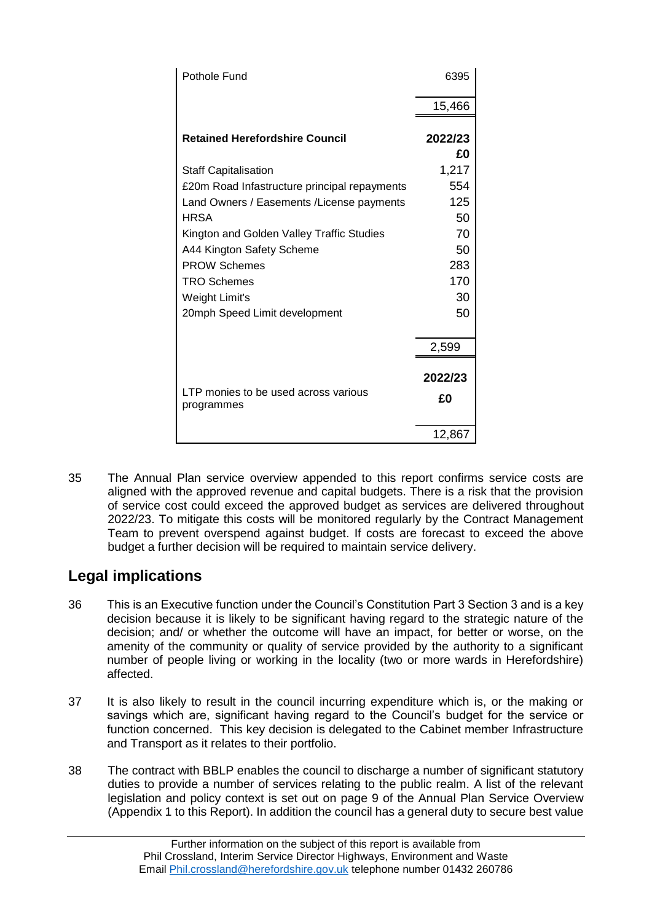| Pothole Fund                                       | 6395          |
|----------------------------------------------------|---------------|
|                                                    | 15,466        |
| <b>Retained Herefordshire Council</b>              | 2022/23<br>£Ο |
| <b>Staff Capitalisation</b>                        | 1,217         |
| £20m Road Infastructure principal repayments       | 554           |
| Land Owners / Easements / License payments         | 125           |
| HRSA                                               | 50            |
| Kington and Golden Valley Traffic Studies          | 70            |
| A44 Kington Safety Scheme                          | 50            |
| <b>PROW Schemes</b>                                | 283           |
| <b>TRO Schemes</b>                                 | 170           |
| Weight Limit's                                     | 30            |
| 20mph Speed Limit development                      | 50            |
|                                                    | 2,599         |
| LTP monies to be used across various<br>programmes | 2022/23<br>£0 |
|                                                    | 12,867        |

35 The Annual Plan service overview appended to this report confirms service costs are aligned with the approved revenue and capital budgets. There is a risk that the provision of service cost could exceed the approved budget as services are delivered throughout 2022/23. To mitigate this costs will be monitored regularly by the Contract Management Team to prevent overspend against budget. If costs are forecast to exceed the above budget a further decision will be required to maintain service delivery.

## **Legal implications**

- 36 This is an Executive function under the Council's Constitution Part 3 Section 3 and is a key decision because it is likely to be significant having regard to the strategic nature of the decision; and/ or whether the outcome will have an impact, for better or worse, on the amenity of the community or quality of service provided by the authority to a significant number of people living or working in the locality (two or more wards in Herefordshire) affected.
- 37 It is also likely to result in the council incurring expenditure which is, or the making or savings which are, significant having regard to the Council's budget for the service or function concerned. This key decision is delegated to the Cabinet member Infrastructure and Transport as it relates to their portfolio.
- 38 The contract with BBLP enables the council to discharge a number of significant statutory duties to provide a number of services relating to the public realm. A list of the relevant legislation and policy context is set out on page 9 of the Annual Plan Service Overview (Appendix 1 to this Report). In addition the council has a general duty to secure best value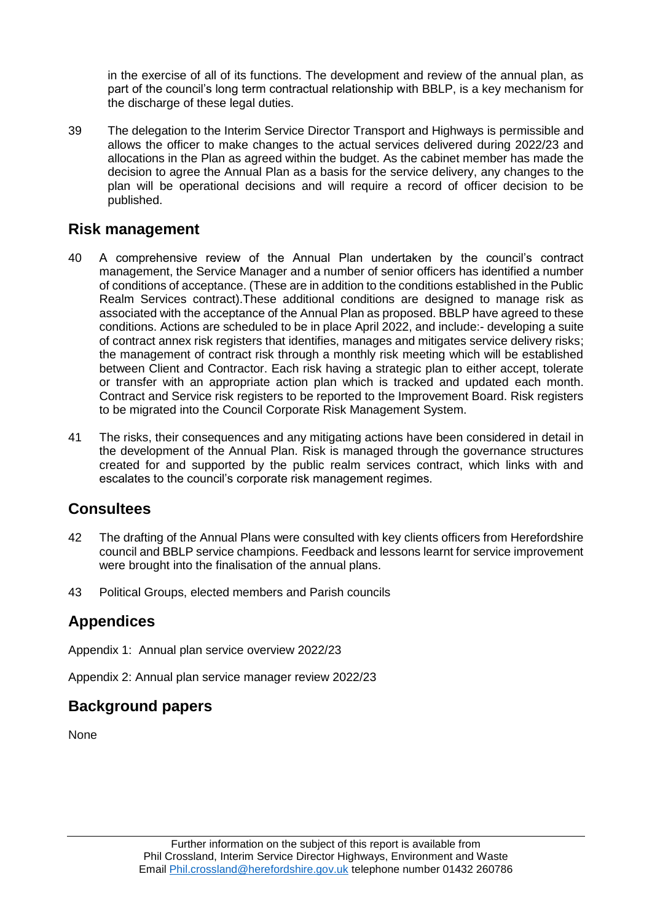in the exercise of all of its functions. The development and review of the annual plan, as part of the council's long term contractual relationship with BBLP, is a key mechanism for the discharge of these legal duties.

39 The delegation to the Interim Service Director Transport and Highways is permissible and allows the officer to make changes to the actual services delivered during 2022/23 and allocations in the Plan as agreed within the budget. As the cabinet member has made the decision to agree the Annual Plan as a basis for the service delivery, any changes to the plan will be operational decisions and will require a record of officer decision to be published.

#### **Risk management**

- 40 A comprehensive review of the Annual Plan undertaken by the council's contract management, the Service Manager and a number of senior officers has identified a number of conditions of acceptance. (These are in addition to the conditions established in the Public Realm Services contract).These additional conditions are designed to manage risk as associated with the acceptance of the Annual Plan as proposed. BBLP have agreed to these conditions. Actions are scheduled to be in place April 2022, and include:- developing a suite of contract annex risk registers that identifies, manages and mitigates service delivery risks; the management of contract risk through a monthly risk meeting which will be established between Client and Contractor. Each risk having a strategic plan to either accept, tolerate or transfer with an appropriate action plan which is tracked and updated each month. Contract and Service risk registers to be reported to the Improvement Board. Risk registers to be migrated into the Council Corporate Risk Management System.
- 41 The risks, their consequences and any mitigating actions have been considered in detail in the development of the Annual Plan. Risk is managed through the governance structures created for and supported by the public realm services contract, which links with and escalates to the council's corporate risk management regimes.

### **Consultees**

- 42 The drafting of the Annual Plans were consulted with key clients officers from Herefordshire council and BBLP service champions. Feedback and lessons learnt for service improvement were brought into the finalisation of the annual plans.
- 43 Political Groups, elected members and Parish councils

## **Appendices**

Appendix 1: Annual plan service overview 2022/23

Appendix 2: Annual plan service manager review 2022/23

### **Background papers**

None